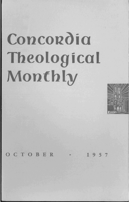# **Concordia Theological Monthly**



OCTOBER • 1957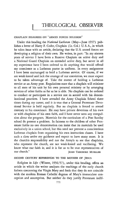# CHAPLAIN DISAGREES ON "ARMED FORCES RELIGION"

Under this heading the *National Lutheran* (May-June 1957) publishes a letter of Harry F. Coder, Chaplain (Lt. Col.) U. S. A., in which he takes issue with an article, declaring that the U. S. armed forces are developing a religion of their own. He writes, in part: "In my sixteen years of service I have been a Reserve Chaplain on active duty and a National Guard Chaplain on extended active duty, but never in all my experience have I been ordered to do anything that would offend my conscience as a Lutheran pastor in uniform. In every assignment I have been encouraged to hold a Lutheran service. Of course, if we are weak-kneed and lack the courage of our conviction, we must expect to be taken advantage of. Take the matter of holding a Lutheran service at an Army post. Regulations state that a chaplain will minister to all men of his unit by his own personal ministry or by arranging services of other faiths as far as he is able. No chaplain can be ordered to conduct or participate in a service not in accord with his denominational practices. I have attended the Army Chaplain School three times during my career, and it is true that a General Protestant Devotional Service is held regularly. But no chaplain is forced to attend contrary to his conscience. He may have private devotions of his own or with chaplains of his own faith, and I have never seen any compulsion about the program. Materials for the curriculum of a Post Sunday school do present a problem. In fairness to the children of other Protestant faiths no one denomination can insist that its materials be used exclusively in a union school, but this need not prevent a conscientious Lutheran chaplain from organizing his own instruction classes. I have such a class under my guidance and expect to have many more. It is the church's responsibility and not the Army's to see that chaplains, who represent the church, are not weak-kneed and vacillating. We know what our faith is; and it is for us to be true representatives of our church." JOHN THEODORE MUELLER

# SECOND CENTURY REFERENCES TO THE MOTHER OF JESUS

*Religion in Life* (Winter, 1956/57), under this heading, offers an article in which the writer analyzes the teachings of the early church fathers concerning the Virgin Mary and finds that they do not coincide with the modern Roman Catholic dogmas of Mary's immaculate conception and assumption. But neither do they justify Protestant indif-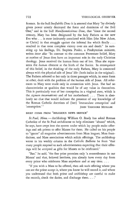ference. In the bull *Ineffabilis Deus* it is asserted that Mary "by divinely given power utterly destroyed the force and dominion of the Evil One," and in the bull *Munificentissimus Deus*, that "since the second century, Mary has been designated by the holy Fathers as the new Eve who ... is most intimately associated with Him [the New Adam, or Christ] in that struggle against the infernal foe which finally ... resulted in that most complete victory over sin and death." In summing up his findings, Dr. Stephen Penko, a Presbyterian minister, writes *inter alia:* "In contrast to the common Protestant belief, Mary as mother of Jesus does have an important role in the early Christian theology. Jesus received the human form out of her. Thus she represents the *human* element at the birth of the Savior. In consequence of this belief, in the thinking of the early Fathers, Mary is connected always with the *physical* side of Jesus' life (both italics in the original). The Fathers referred to her only in those passages which, in some form or other, dealt with the problem of the human side of Jesus. All references to Mary were made only in connection with Jesus. She had no characteristics or qualities that would be of any value in themselves. This is particularly true of her conception in a virginal state, which is the *signum incarnationis* and of her motherhood. . . . There is absolutely no clue that would indicate the presence of any knowledge of the Roman Catholic doctrines of [her] 'immaculate conception' and 'assumption.'"  $J$  JOHN THEODORE MUELLER

# BRIEF ITEMS FROM "RELIGIOUS NEWS SERVICE"

St. Paul, Minn. - Archbishop William O. Brady has asked Roman Catholics of the St. Paul archdiocese to help eliminate "abuses" which, he says, have crept into the system under which lay people make offerings and ask priests to offer Masses for them. He called on his people to "ignore" all magazine advertisements from Mass leagues, Mass foundations, and Mass associations which solicit offerings. The archbishop wrote in his weekly column in the *Catholic Bulletin* he fears "that many people respond to such advertisements expecting that their offerings will be accepted as gifts for Masses to be celebrated."

"But," he said, "the fine print promises only 'a remembrance in our Masses' and that, beloved brethren, you already have every day from every priest who celebrates Mass anywhere and at any time. . . .

"If you wish a Mass to be offered, then ask such offering where you can see the priest accept it, where you know he will record it, and where you understand that both priest and archbishop are careful to make the records, check the duties, and discharge them. . . ."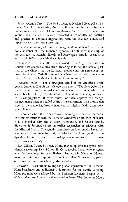### THEOLOGICAL OBSERVER 773

*Minneapolis, Minn.* — The 9,331-member National Evangelical Lutheran Church is considering the possibility of merging with the twomillion member Lutheran Church — Missouri Synod. At its annual convention here, the denomination instructed its committee on doctrine and practice to continue negotiations with the Missouri Synod and report back at next year's meeting.

The denomination, of Finnish background, is affiliated with (but not a member of) the Lutheran Synodical Conference, made up of the Missouri, Wisconsin, Slovak, and Norwegian Synods. It has altar and pulpit fellowship with these Synods.

*Omaha, Nebr.* - The 98th annual synod of the Augustana Lutheran Church here adopted a resolution declaring it to be "the official position of the Church that no Lutheran should enter an agreement imposed by Roman Catholic canon law where the promise is made to rear children in a faith that he himself cannot accept."

*Mankato, Minn.* - The Norwegian Synod of the American Evangelical Lutheran Church may change its name to "The Evangelical Lutheran Synod." At its annual convention here, the church, which has a membership of 12,000, submitted a referendum on change of name to its congregations. If three fourths of them approve the change, the new name must be ratified at the 1958 convention. The Norwegian label in the name has been a handicap in mission fields, some delegates claimed.

In another action the delegates overwhelmingly defeated a memorial to break off relations with the Lutheran Synodical Conference, of which it is a member with the Missouri, Wisconsin, and Slovak synods. However, it declined to lift an earlier suspension of relations with the Missouri Synod. The synod's committee on intersynodical relations was asked to continue its study of whether the four synods in the Synodical Conference are in doctrinal agreement and to seek to remove any obstacles to unity.

Rev. Milton Tweit, St. Peter, Minn., moved up into the synod presidency, succeeding Rev. Milton H. Otto, Lawler, Iowa, who resigned when he became professor at Bethany Seminary in Mankato. Named to succeed him as vice-president was Rev. Julian G. Anderson, pastor of Hiawatha Lutheran Church, Minneapolis.

*St. Louis.* — Resolutions calling for global expansion of the Lutheran Hour broadcasts and additional U. S. stations for the Family Worship Hour program were adopted by the Lutheran Laymen's League at its 40th anniversary international convention here. The Lutheran Hour,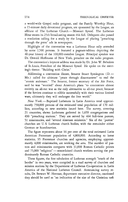a world-wide Gospel radio program, and the Family Worship Hour, a 15-minute daily devotional program, are sponsored by the League, an affiliate of The Lutheran Church - Missouri Synod. The Lutheran Hour enters its 25th broadcasting season this fall. Delegates also passed a resolution calling for a study by the League of placing "preaching through the press" ads in newspapers.

Highlight of the convention was a Lutheran Hour rally attended by some 2,500 persons. It featured a pageant-tableau depicting the 40-year history of the 100,000-member League. Principal speaker was Dr. Oswald Hoffmann of New York, preacher on the radio program.

The convention's keynote address was made by Dr. John W. Behnken of St. Louis, President of the Missouri Synod. He spoke on the meeting's theme: "Building with Christ."

Addressing a convention dinner, Senator Stuart Symington (D.-Mo.) called for ultimate "peace through disarmament" to end the "atomic stalemate." The Senator, former secretary of the Air Force, said he was "worried" about America's plans "to concentrate almost entirely on all-out war as the only alternative to all-out peace, because if the Soviets continue to nibble successfully with their various limited wars, ultimately they will endanger the free world."

*New York.* - Baptized Lutherans in Latin America total approximately 750,000 persons of the estimated total population of 170 million, according to new statistics issued here. The survey, covering 21 countries, shows Lutherans gathered in 1,659 congregations and 430 "preaching stations." They are served by 464 full-time pastors, 51 missionaries, and "several itinerant ministers." Six of the "parent" churches are U. S. Lutheran church bodies, with the remainder either German or Scandinavian.

The figure represents about 16 per cent of the total estimated Latin American Protestant population of 4,800,000. According to latest statistics, 95 Protestant churches and agencies, employing approximately 4,000 missionaries, are working the area. The number of pastors and missionaries compares with 31,000 Roman Catholic priests and 75,000 "religious" - nonordained church workers serving the predominantly Roman Catholic countries.

These figures, the first tabulation of Lutheran strength "south of the border" in two years, were compiled in a mail survey of churches and mission stations by the Department of Lutheran Co-operation in Latin America of the National Lutheran Council. Announcing survey results, Dr. Stewart W. Herman, department executive director, cautioned they should be used as "an indication of the size of the Christian task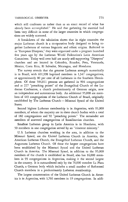# THEOLOGICAL OBSERVER 775

which still confronts us rather than as an exact record of what has already been accomplished." He said that gathering the material had been very difficult in some of the larger countries in which congregations are widely scattered.

A breakdown of the tabulation shows that in eight countries the major Lutheran church is a co-operative body designed to bring together Lutherans of various linguistic and ethnic origins. Referred to as "European Diaspora," they were organized under a program launched five years ago by the Lutheran World Federation's Latin American Committee. Today well over half are nearly self-supporting "Diaspora" churches and are located in Colombia, Ecuador, Peru, Venezuela, Mexico, Costa Rica, EI Salvador, Nicaragua, and Honduras.

The survey reveals that the greatest Lutheran strength numerically is in Brazil, with 601,998 baptized members in 1,347 congregations, or approximately 80 per cent of all Lutherans in the Southern Hemisphere. Of these 504,811 persons are gathered in 904 congregations and at 227 "preaching points" of the Evangelical Church of the Lutheran Confession, a church predominantly of German origin, now an independent and autonomous body. An additional 95,000 are members of 443 congregations of the Lutheran Church of Brazil, originally established by The Lutheran Church-Missouri Synod of the United States.

Second highest Lutheran membership is in Argentina, with 91,000 members, of whom the majority are in three church bodies with a total of 182 congregations and 92 "preaching points." The remainder are members of scattered congregations of Scandinavian churches.

Smallest Lutheran group in Latin America is in Honduras, with 50 members in one congregation served by an "itinerent ministry."

U. S. Lutheran churches working in the area, in addition to the Missouri Synod, are the United Lutheran Church in America, the American Lutheran Church, the Evangelical Lutheran Church, and the Augustana Lutheran Church. Of these the largest congregations have been established by the Missouri Synod and the United Lutheran Church in America. The Missouri Synod, in addition to the 95,000 members of the church it established in Brazil, also has 16,000 members in 93 congregations in Argentina, making it the second largest in the country. It is outnumbered only by the 70,000 member La Plata Church, a German body which includes a small number of Reformed Church members in a predominantly Lutheran membership.

The largest concentration of the United Lutheran Church in America is in Argentina, with 3,766 members in 19 congregations. In addi